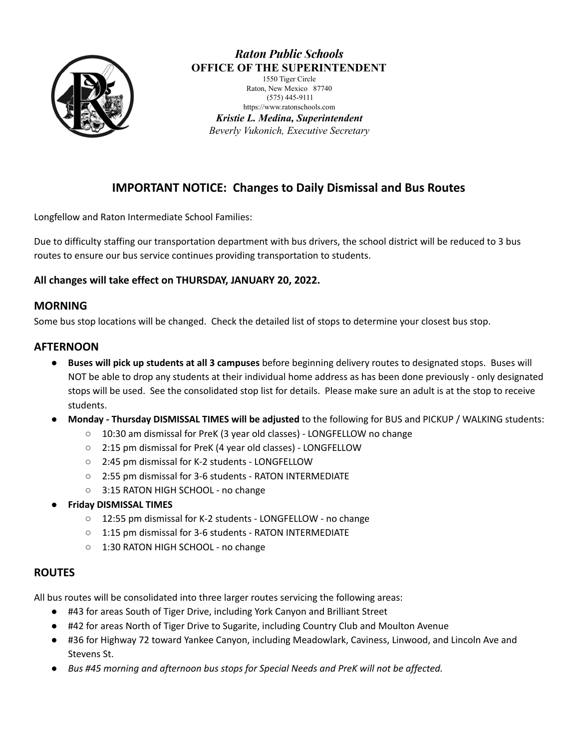

### *Raton Public Schools* **OFFICE OF THE SUPERINTENDENT**

1550 Tiger Circle Raton, New Mexico 87740 (575) 445-9111 https://www.ratonschools.com

*Kristie L. Medina, Superintendent Beverly Vukonich, Executive Secretary*

### **IMPORTANT NOTICE: Changes to Daily Dismissal and Bus Routes**

Longfellow and Raton Intermediate School Families:

Due to difficulty staffing our transportation department with bus drivers, the school district will be reduced to 3 bus routes to ensure our bus service continues providing transportation to students.

#### **All changes will take effect on THURSDAY, JANUARY 20, 2022.**

#### **MORNING**

Some bus stop locations will be changed. Check the detailed list of stops to determine your closest bus stop.

#### **AFTERNOON**

- **Buses will pick up students at all 3 campuses** before beginning delivery routes to designated stops. Buses will NOT be able to drop any students at their individual home address as has been done previously - only designated stops will be used. See the consolidated stop list for details. Please make sure an adult is at the stop to receive students.
- **Monday - Thursday DISMISSAL TIMES will be adjusted** to the following for BUS and PICKUP / WALKING students:
	- 10:30 am dismissal for PreK (3 year old classes) LONGFELLOW no change
	- 2:15 pm dismissal for PreK (4 year old classes) LONGFELLOW
	- 2:45 pm dismissal for K-2 students LONGFELLOW
	- 2:55 pm dismissal for 3-6 students RATON INTERMEDIATE
	- 3:15 RATON HIGH SCHOOL no change
- **● Friday DISMISSAL TIMES**
	- 12:55 pm dismissal for K-2 students LONGFELLOW no change
	- 1:15 pm dismissal for 3-6 students RATON INTERMEDIATE
	- 1:30 RATON HIGH SCHOOL no change

#### **ROUTES**

All bus routes will be consolidated into three larger routes servicing the following areas:

- #43 for areas South of Tiger Drive, including York Canyon and Brilliant Street
- #42 for areas North of Tiger Drive to Sugarite, including Country Club and Moulton Avenue
- #36 for Highway 72 toward Yankee Canyon, including Meadowlark, Caviness, Linwood, and Lincoln Ave and Stevens St.
- *Bus #45 morning and afternoon bus stops for Special Needs and PreK will not be affected.*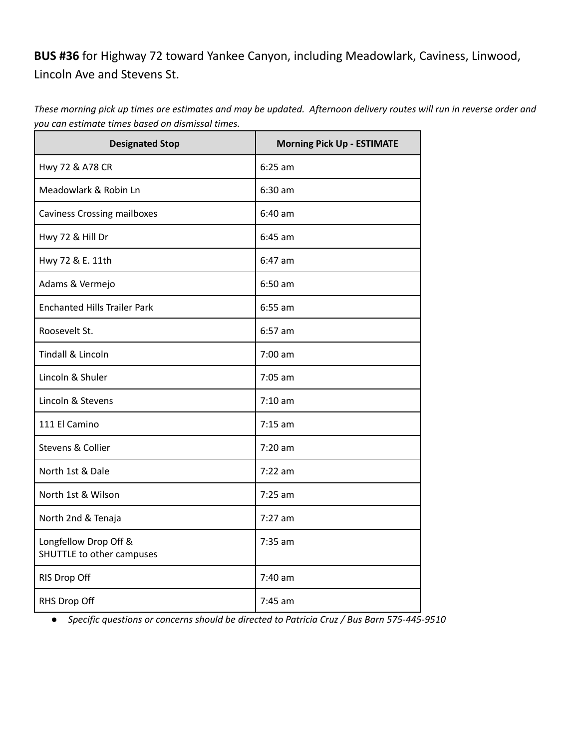# **BUS #36** for Highway 72 toward Yankee Canyon, including Meadowlark, Caviness, Linwood, Lincoln Ave and Stevens St.

These morning pick up times are estimates and may be updated. Afternoon delivery routes will run in reverse order and *you can estimate times based on dismissal times.*

| <b>Designated Stop</b>                             | <b>Morning Pick Up - ESTIMATE</b> |  |
|----------------------------------------------------|-----------------------------------|--|
| Hwy 72 & A78 CR                                    | $6:25$ am                         |  |
| Meadowlark & Robin Ln                              | $6:30$ am                         |  |
| <b>Caviness Crossing mailboxes</b>                 | $6:40$ am                         |  |
| Hwy 72 & Hill Dr                                   | $6:45$ am                         |  |
| Hwy 72 & E. 11th                                   | $6:47$ am                         |  |
| Adams & Vermejo                                    | $6:50$ am                         |  |
| <b>Enchanted Hills Trailer Park</b>                | $6:55$ am                         |  |
| Roosevelt St.                                      | $6:57$ am                         |  |
| <b>Tindall &amp; Lincoln</b>                       | $7:00 \text{ am}$                 |  |
| Lincoln & Shuler                                   | $7:05$ am                         |  |
| Lincoln & Stevens                                  | $7:10$ am                         |  |
| 111 El Camino                                      | $7:15$ am                         |  |
| Stevens & Collier                                  | $7:20$ am                         |  |
| North 1st & Dale                                   | $7:22$ am                         |  |
| North 1st & Wilson                                 | $7:25$ am                         |  |
| North 2nd & Tenaja                                 | $7:27$ am                         |  |
| Longfellow Drop Off &<br>SHUTTLE to other campuses | 7:35 am                           |  |
| RIS Drop Off                                       | $7:40$ am                         |  |
| RHS Drop Off                                       | $7:45$ am                         |  |

*● Specific questions or concerns should be directed to Patricia Cruz / Bus Barn 575-445-9510*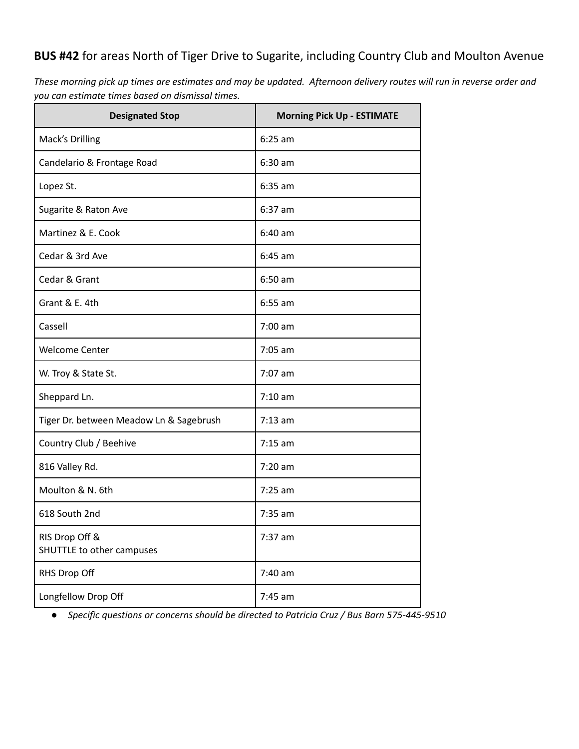# **BUS #42** for areas North of Tiger Drive to Sugarite, including Country Club and Moulton Avenue

These morning pick up times are estimates and may be updated. Afternoon delivery routes will run in reverse order and *you can estimate times based on dismissal times.*

| <b>Designated Stop</b>                      | <b>Morning Pick Up - ESTIMATE</b> |
|---------------------------------------------|-----------------------------------|
| Mack's Drilling                             | $6:25$ am                         |
| Candelario & Frontage Road                  | $6:30$ am                         |
| Lopez St.                                   | $6:35$ am                         |
| Sugarite & Raton Ave                        | $6:37$ am                         |
| Martinez & E. Cook                          | $6:40$ am                         |
| Cedar & 3rd Ave                             | $6:45$ am                         |
| Cedar & Grant                               | $6:50$ am                         |
| Grant & E. 4th                              | $6:55$ am                         |
| Cassell                                     | $7:00$ am                         |
| <b>Welcome Center</b>                       | $7:05$ am                         |
| W. Troy & State St.                         | $7:07$ am                         |
| Sheppard Ln.                                | $7:10$ am                         |
| Tiger Dr. between Meadow Ln & Sagebrush     | $7:13$ am                         |
| Country Club / Beehive                      | $7:15$ am                         |
| 816 Valley Rd.                              | $7:20$ am                         |
| Moulton & N. 6th                            | $7:25$ am                         |
| 618 South 2nd                               | $7:35$ am                         |
| RIS Drop Off &<br>SHUTTLE to other campuses | $7:37$ am                         |
| RHS Drop Off                                | 7:40 am                           |
| Longfellow Drop Off                         | $7:45$ am                         |

*● Specific questions or concerns should be directed to Patricia Cruz / Bus Barn 575-445-9510*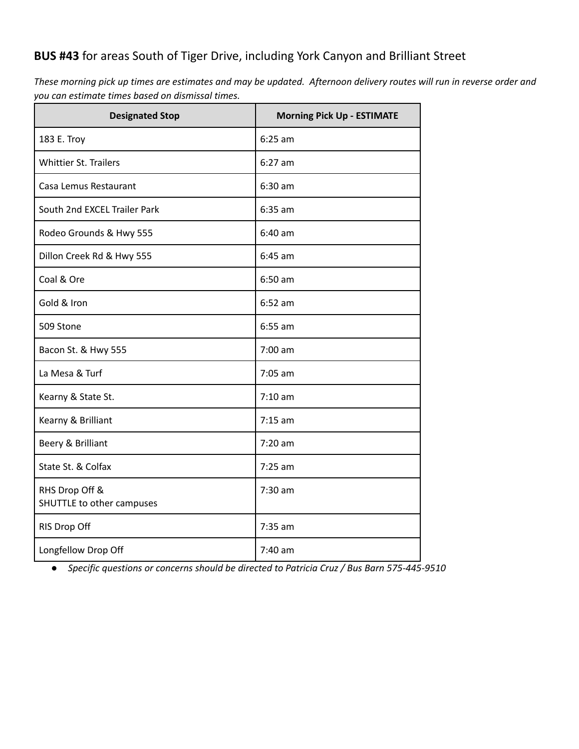## **BUS #43** for areas South of Tiger Drive, including York Canyon and Brilliant Street

These morning pick up times are estimates and may be updated. Afternoon delivery routes will run in reverse order and *you can estimate times based on dismissal times.*

| <b>Designated Stop</b>                      | <b>Morning Pick Up - ESTIMATE</b> |  |
|---------------------------------------------|-----------------------------------|--|
| 183 E. Troy                                 | $6:25$ am                         |  |
| <b>Whittier St. Trailers</b>                | $6:27$ am                         |  |
| Casa Lemus Restaurant                       | $6:30$ am                         |  |
| South 2nd EXCEL Trailer Park                | $6:35$ am                         |  |
| Rodeo Grounds & Hwy 555                     | $6:40$ am                         |  |
| Dillon Creek Rd & Hwy 555                   | $6:45$ am                         |  |
| Coal & Ore                                  | $6:50$ am                         |  |
| Gold & Iron                                 | $6:52$ am                         |  |
| 509 Stone                                   | $6:55$ am                         |  |
| Bacon St. & Hwy 555                         | 7:00 am                           |  |
| La Mesa & Turf                              | $7:05$ am                         |  |
| Kearny & State St.                          | $7:10$ am                         |  |
| Kearny & Brilliant                          | $7:15$ am                         |  |
| Beery & Brilliant                           | $7:20$ am                         |  |
| State St. & Colfax                          | $7:25$ am                         |  |
| RHS Drop Off &<br>SHUTTLE to other campuses | 7:30 am                           |  |
| RIS Drop Off                                | 7:35 am                           |  |
| Longfellow Drop Off                         | $7:40$ am                         |  |

*● Specific questions or concerns should be directed to Patricia Cruz / Bus Barn 575-445-9510*